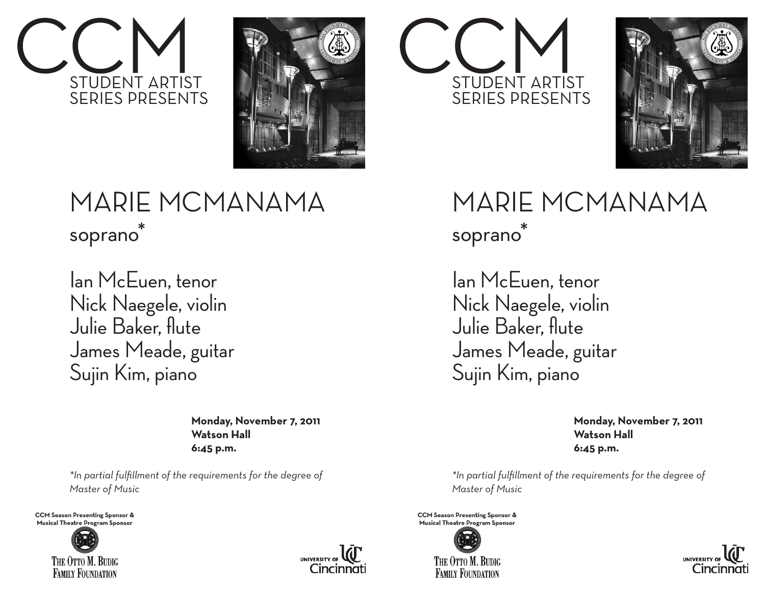



## MARIE MCMANAMA soprano<sup>®</sup>

Ian McEuen, tenor Nick Naegele, violin Julie Baker, flute James Meade, guitar Sujin Kim, piano

> **Monday, November 7, 2011 Watson Hall 6:45 p.m.**

*\*In partial fulfillment of the requirements for the degree of Master of Music*

**CCM Season Presenting Sponsor & Musical Theatre Program Sponsor**